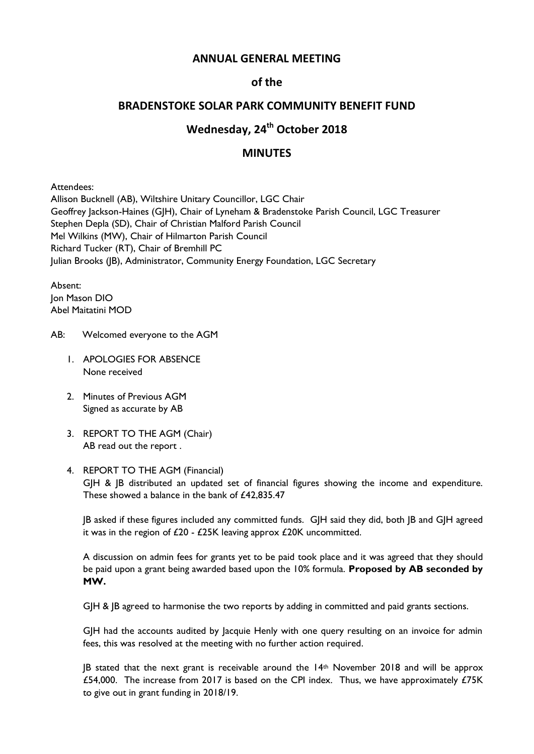## **ANNUAL GENERAL MEETING**

# **of the**

# **BRADENSTOKE SOLAR PARK COMMUNITY BENEFIT FUND**

# **Wednesday, 24 th October 2018**

# **MINUTES**

Attendees:

Allison Bucknell (AB), Wiltshire Unitary Councillor, LGC Chair Geoffrey Jackson-Haines (GJH), Chair of Lyneham & Bradenstoke Parish Council, LGC Treasurer Stephen Depla (SD), Chair of Christian Malford Parish Council Mel Wilkins (MW), Chair of Hilmarton Parish Council Richard Tucker (RT), Chair of Bremhill PC Julian Brooks (JB), Administrator, Community Energy Foundation, LGC Secretary

Absent: Jon Mason DIO Abel Maitatini MOD

AB: Welcomed everyone to the AGM

- 1. APOLOGIES FOR ABSENCE None received
- 2. Minutes of Previous AGM Signed as accurate by AB
- 3. REPORT TO THE AGM (Chair) AB read out the report .

## 4. REPORT TO THE AGM (Financial) GJH & JB distributed an updated set of financial figures showing the income and expenditure. These showed a balance in the bank of £42,835.47

JB asked if these figures included any committed funds. GJH said they did, both JB and GJH agreed it was in the region of  $£20 - £25K$  leaving approx  $£20K$  uncommitted.

A discussion on admin fees for grants yet to be paid took place and it was agreed that they should be paid upon a grant being awarded based upon the 10% formula. **Proposed by AB seconded by MW.**

GJH & JB agreed to harmonise the two reports by adding in committed and paid grants sections.

GJH had the accounts audited by Jacquie Henly with one query resulting on an invoice for admin fees, this was resolved at the meeting with no further action required.

 $|B \text{ stated that the next grant is receivable around the } 14^{\text{th}}$  November 2018 and will be approx £54,000. The increase from 2017 is based on the CPI index. Thus, we have approximately £75K to give out in grant funding in 2018/19.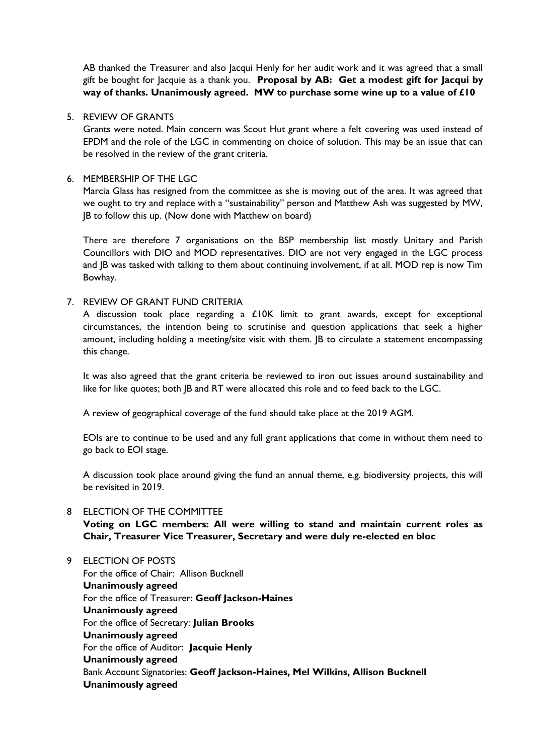AB thanked the Treasurer and also Jacqui Henly for her audit work and it was agreed that a small gift be bought for Jacquie as a thank you. **Proposal by AB: Get a modest gift for Jacqui by way of thanks. Unanimously agreed. MW to purchase some wine up to a value of £10**

## 5. REVIEW OF GRANTS

Grants were noted. Main concern was Scout Hut grant where a felt covering was used instead of EPDM and the role of the LGC in commenting on choice of solution. This may be an issue that can be resolved in the review of the grant criteria.

### 6. MEMBERSHIP OF THE LGC

Marcia Glass has resigned from the committee as she is moving out of the area. It was agreed that we ought to try and replace with a "sustainability" person and Matthew Ash was suggested by MW, JB to follow this up. (Now done with Matthew on board)

There are therefore 7 organisations on the BSP membership list mostly Unitary and Parish Councillors with DIO and MOD representatives. DIO are not very engaged in the LGC process and JB was tasked with talking to them about continuing involvement, if at all. MOD rep is now Tim Bowhay.

### 7. REVIEW OF GRANT FUND CRITERIA

A discussion took place regarding a  $£10K$  limit to grant awards, except for exceptional circumstances, the intention being to scrutinise and question applications that seek a higher amount, including holding a meeting/site visit with them. JB to circulate a statement encompassing this change.

It was also agreed that the grant criteria be reviewed to iron out issues around sustainability and like for like quotes; both JB and RT were allocated this role and to feed back to the LGC.

A review of geographical coverage of the fund should take place at the 2019 AGM.

EOIs are to continue to be used and any full grant applications that come in without them need to go back to EOI stage.

A discussion took place around giving the fund an annual theme, e.g. biodiversity projects, this will be revisited in 2019.

## 8 ELECTION OF THE COMMITTEE

**Voting on LGC members: All were willing to stand and maintain current roles as Chair, Treasurer Vice Treasurer, Secretary and were duly re-elected en bloc**

9 ELECTION OF POSTS For the office of Chair: Allison Bucknell **Unanimously agreed** For the office of Treasurer: **Geoff Jackson-Haines Unanimously agreed** For the office of Secretary: **Julian Brooks Unanimously agreed** For the office of Auditor: **Jacquie Henly Unanimously agreed** Bank Account Signatories: **Geoff Jackson-Haines, Mel Wilkins, Allison Bucknell Unanimously agreed**